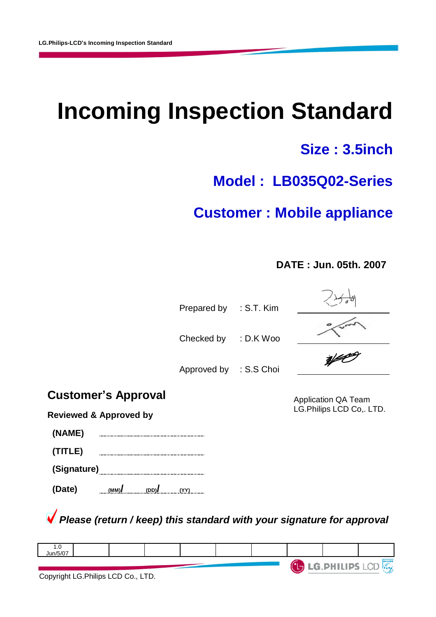# **Incoming Inspection Standard**

# **Size : 3.5inch**

# **Model : LB035Q02-Series**

# **Customer : Mobile appliance**

# **DATE : Jun. 05th. 2007**

Prepared by : S.T. Kim





Application QA Team LG.Philips LCD Co,. LTD.

Approved by : S.S Choi

# **Customer's Approval**

|  |  | <b>Reviewed &amp; Approved by</b> |  |  |
|--|--|-----------------------------------|--|--|
|--|--|-----------------------------------|--|--|

| (NAME)  |  |
|---------|--|
| (TITLE) |  |

**(Signature)**

**(Date) (MM)/ (DD)/ (YY)**

*Please (return / keep) this standard with your signature for approval*

| ن. ا<br>Jun/5/07 |  |  |  |             |                                        |
|------------------|--|--|--|-------------|----------------------------------------|
|                  |  |  |  | 70 T<br>6 L | LG.PHILIPS LCD $\overline{\mathbb{Z}}$ |
|                  |  |  |  |             |                                        |

Copyright LG.Philips LCD Co., LTD.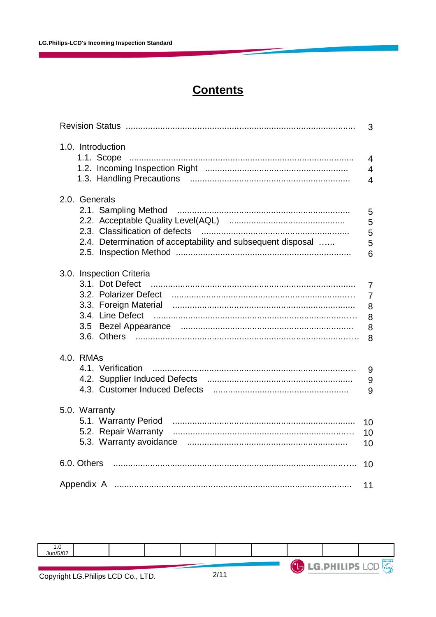# **Contents**

|                                                                                                                                                                                                                                                                                                                                                                                                                                                                               | 3                                                    |
|-------------------------------------------------------------------------------------------------------------------------------------------------------------------------------------------------------------------------------------------------------------------------------------------------------------------------------------------------------------------------------------------------------------------------------------------------------------------------------|------------------------------------------------------|
| 1.0. Introduction                                                                                                                                                                                                                                                                                                                                                                                                                                                             | $\overline{4}$<br>$\overline{4}$<br>$\overline{4}$   |
| 2.0. Generals<br>2.4. Determination of acceptability and subsequent disposal                                                                                                                                                                                                                                                                                                                                                                                                  | 5<br>5<br>5<br>5<br>6                                |
| 3.0. Inspection Criteria<br>3.2. Polarizer Defect (and all and all and all and all and an annual and all and an annual and all a<br>3.4. Line Defect<br>3.5                                                                                                                                                                                                                                                                                                                   | $\overline{7}$<br>$\overline{7}$<br>8<br>8<br>8<br>8 |
| 4.0. RMAs<br>4.1. Verification<br>$\begin{minipage}{0.5\textwidth} \begin{tabular}{ l l l } \hline \multicolumn{1}{ l l l } \hline \multicolumn{1}{ l l } \multicolumn{1}{ l } \multicolumn{1}{ l } \multicolumn{1}{ l } \multicolumn{1}{ l } \multicolumn{1}{ l } \multicolumn{1}{ l } \multicolumn{1}{ l } \multicolumn{1}{ l } \multicolumn{1}{ l } \multicolumn{1}{ l } \multicolumn{1}{ l } \multicolumn{1}{ l } \multicolumn{1}{ l } \multicolumn{1}{ l } \multicolumn$ | 9<br>9<br>9                                          |
| 5.0. Warranty<br>5.2. Repair Warranty                                                                                                                                                                                                                                                                                                                                                                                                                                         | 10<br>10<br>10                                       |
| 6.0. Others                                                                                                                                                                                                                                                                                                                                                                                                                                                                   | 10                                                   |
|                                                                                                                                                                                                                                                                                                                                                                                                                                                                               | 11                                                   |

| 1.U<br>Jun/5/07 |  |  |                                     |  |                          |  |
|-----------------|--|--|-------------------------------------|--|--------------------------|--|
|                 |  |  | the contract of the contract of the |  | <b>C</b> LG. PHILIPS LCD |  |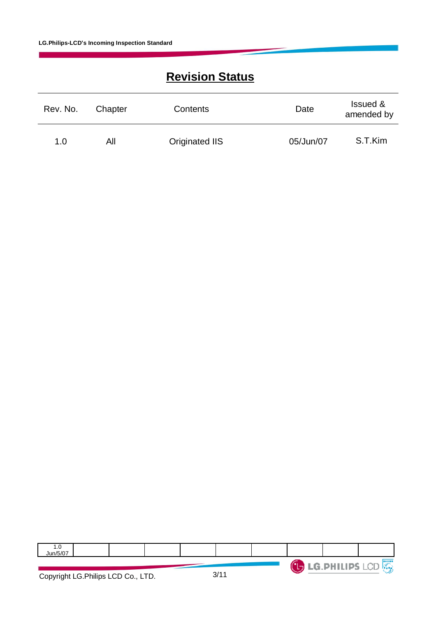# **Revision Status**

| Rev. No. | Chapter | <b>Contents</b> | Date      | <b>Issued &amp;</b><br>amended by |
|----------|---------|-----------------|-----------|-----------------------------------|
| 1.0      | All     | Originated IIS  | 05/Jun/07 | S.T.Kim                           |

| Jun/5/07 |   |   |       |      |  |                          |  |
|----------|---|---|-------|------|--|--------------------------|--|
|          |   |   |       |      |  |                          |  |
|          |   |   |       |      |  | <b>C</b> LG. PHILIPS LCD |  |
| <u>—</u> | . | . | . _ _ | 0/44 |  |                          |  |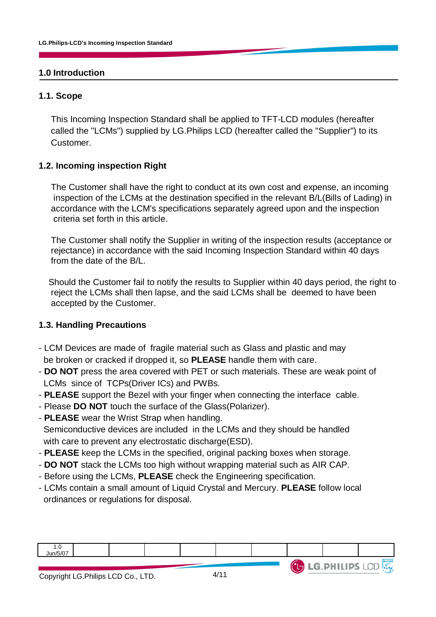# **1.0 Introduction**

# **1.1. Scope**

This Incoming Inspection Standard shall be applied to TFT-LCD modules (hereafter called the "LCMs") supplied by LG.Philips LCD (hereafter called the "Supplier") to its Customer.

# **1.2. Incoming inspection Right**

The Customer shall have the right to conduct at its own cost and expense, an incoming inspection of the LCMs at the destination specified in the relevant B/L(Bills of Lading) in accordance with the LCM's specifications separately agreed upon and the inspection criteria set forth in this article.

The Customer shall notify the Supplier in writing of the inspection results (acceptance or rejectance) in accordance with the said Incoming Inspection Standard within 40 days from the date of the B/L.

Should the Customer fail to notify the results to Supplier within 40 days period, the right to reject the LCMs shall then lapse, and the said LCMs shall be deemed to have been accepted by the Customer.

# **1.3. Handling Precautions**

- LCM Devices are made of fragile material such as Glass and plastic and may be broken or cracked if dropped it, so **PLEASE** handle them with care.
- **DO NOT** press the area covered with PET or such materials. These are weak point of LCMs since of TCPs(Driver ICs) and PWBs.
- **PLEASE** support the Bezel with your finger when connecting the interface cable.
- Please **DO NOT** touch the surface of the Glass(Polarizer).
- **PLEASE** wear the Wrist Strap when handling. Semiconductive devices are included in the LCMs and they should be handled with care to prevent any electrostatic discharge(ESD).
- **PLEASE** keep the LCMs in the specified, original packing boxes when storage.
- **DO NOT** stack the LCMs too high without wrapping material such as AIR CAP.
- Before using the LCMs, **PLEASE** check the Engineering specification.
- LCMs contain a small amount of Liquid Crystal and Mercury. **PLEASE** follow local ordinances or regulations for disposal.

| ı.u<br>$\mu$ n/5/0 $^{-}$ |  |  |  |                |                                                  |  |
|---------------------------|--|--|--|----------------|--------------------------------------------------|--|
|                           |  |  |  | 7 OT<br>$\sim$ | <b>D</b> LG. PHILIPS LCD $\overline{\mathbb{Z}}$ |  |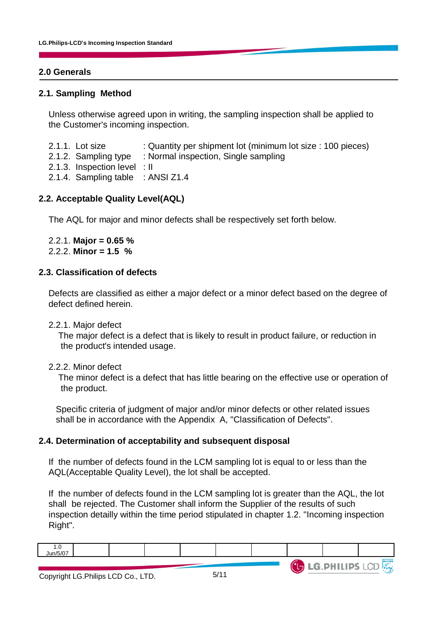# **2.0 Generals**

# **2.1. Sampling Method**

Unless otherwise agreed upon in writing, the sampling inspection shall be applied to the Customer's incoming inspection.

- 2.1.1. Lot size : Quantity per shipment lot (minimum lot size : 100 pieces)
- 2.1.2. Sampling type : Normal inspection, Single sampling
- 2.1.3. Inspection level : II
- 2.1.4. Sampling table : ANSI Z1.4

# **2.2. Acceptable Quality Level(AQL)**

The AQL for major and minor defects shall be respectively set forth below.

2.2.1. **Major = 0.65 %** 2.2.2. **Minor = 1.5 %**

#### **2.3. Classification of defects**

Defects are classified as either a major defect or a minor defect based on the degree of defect defined herein.

2.2.1. Major defect

The major defect is a defect that is likely to result in product failure, or reduction in the product's intended usage.

2.2.2. Minor defect

The minor defect is a defect that has little bearing on the effective use or operation of the product.

Specific criteria of judgment of major and/or minor defects or other related issues shall be in accordance with the Appendix A, "Classification of Defects".

# **2.4. Determination of acceptability and subsequent disposal**

If the number of defects found in the LCM sampling lot is equal to or less than the AQL(Acceptable Quality Level), the lot shall be accepted.

If the number of defects found in the LCM sampling lot is greater than the AQL, the lot shall be rejected. The Customer shall inform the Supplier of the results of such inspection detailly within the time period stipulated in chapter 1.2. "Incoming inspection Right".

| u.u<br>Jun/5/07 |  |  |  |                  |                |                                                    |
|-----------------|--|--|--|------------------|----------------|----------------------------------------------------|
|                 |  |  |  | 70 D<br>К÷.<br>- | <b>PHILIPS</b> | <b>BELLES</b><br><b>SINGLE</b><br><b>STA</b><br>__ |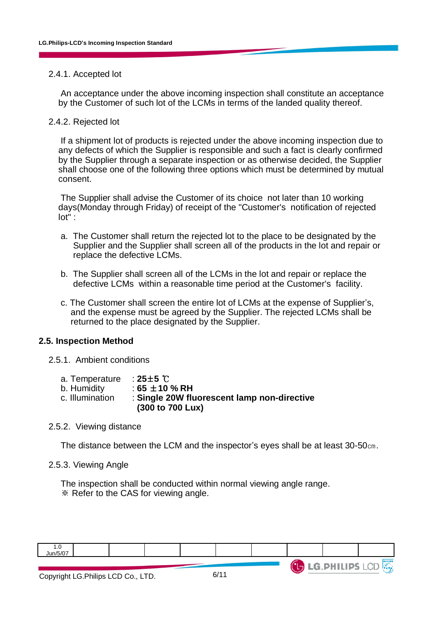#### 2.4.1. Accepted lot

An acceptance under the above incoming inspection shall constitute an acceptance by the Customer of such lot of the LCMs in terms of the landed quality thereof.

#### 2.4.2. Rejected lot

If a shipment lot of products is rejected under the above incoming inspection due to any defects of which the Supplier is responsible and such a fact is clearly confirmed by the Supplier through a separate inspection or as otherwise decided, the Supplier shall choose one of the following three options which must be determined by mutual consent.

The Supplier shall advise the Customer of its choice not later than 10 working days(Monday through Friday) of receipt of the "Customer's notification of rejected lot" :

- a. The Customer shall return the rejected lot to the place to be designated by the Supplier and the Supplier shall screen all of the products in the lot and repair or replace the defective LCMs.
- b. The Supplier shall screen all of the LCMs in the lot and repair or replace the defective LCMs within a reasonable time period at the Customer's facility.
- c. The Customer shall screen the entire lot of LCMs at the expense of Supplier's, and the expense must be agreed by the Supplier. The rejected LCMs shall be returned to the place designated by the Supplier.

#### **2.5. Inspection Method**

2.5.1. Ambient conditions

| a. Temperature  | :25±5 ℃                                     |
|-----------------|---------------------------------------------|
| b. Humidity     | : 65 $\pm$ 10 % RH                          |
| c. Illumination | : Single 20W fluorescent lamp non-directive |
|                 | (300 to 700 Lux)                            |

2.5.2. Viewing distance

The distance between the LCM and the inspector's eyes shall be at least 30-50㎝.

#### 2.5.3. Viewing Angle

The inspection shall be conducted within normal viewing angle range. ※ Refer to the CAS for viewing angle.

| ı.u<br>/5/07 |  |      |                  |                |   |
|--------------|--|------|------------------|----------------|---|
|              |  | 0/44 | 70 L<br>л.<br>л. | LG.PHILIPS LCD | 屬 |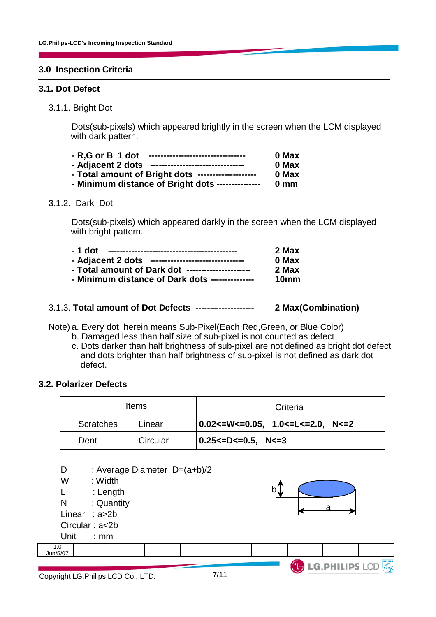#### **3.0 Inspection Criteria**

#### **3.1. Dot Defect**

3.1.1. Bright Dot

Dots(sub-pixels) which appeared brightly in the screen when the LCM displayed with dark pattern.

| - R.G or B 1 dot -------------------------------  | 0 Max          |
|---------------------------------------------------|----------------|
| - Adjacent 2 dots ------------------------------  | 0 Max          |
| - Total amount of Bright dots ------------------- | 0 Max          |
| - Minimum distance of Bright dots --------------  | $0 \text{ mm}$ |

#### 3.1.2. Dark Dot

Dots(sub-pixels) which appeared darkly in the screen when the LCM displayed with bright pattern.

| - 1 dot                                          | 2 Max            |
|--------------------------------------------------|------------------|
| - Adjacent 2 dots ------------------------------ | 0 Max            |
| - Total amount of Dark dot --------------------  | 2 Max            |
| - Minimum distance of Dark dots ---------------  | 10 <sub>mm</sub> |

#### 3.1.3. **Total amount of Dot Defects -------------------- 2 Max(Combination)**

- Note) a. Every dot herein means Sub-Pixel(Each Red,Green, or Blue Color)
	- b. Damaged less than half size of sub-pixel is not counted as defect
	- c. Dots darker than half brightness of sub-pixel are not defined as bright dot defect and dots brighter than half brightness of sub-pixel is not defined as dark dot defect.

### **3.2. Polarizer Defects**

|                  | Items    | Criteria                             |  |
|------------------|----------|--------------------------------------|--|
| <b>Scratches</b> | Linear   | $ 0.02$ <=W<=0.05, 1.0<=L<=2.0, N<=2 |  |
| Dent             | Circular | $ 0.25\leq D\leq 0.5, N\leq 3$       |  |

| D<br>W<br>N<br>Unit | : Width<br>: Length<br>: Quantity<br>Linear : $a > 2b$<br>Circular: a<2b<br>$: \mathsf{mm}$ | : Average Diameter D=(a+b)/2 |  |  |                       |
|---------------------|---------------------------------------------------------------------------------------------|------------------------------|--|--|-----------------------|
| 1.0<br>Jun/5/07     |                                                                                             |                              |  |  |                       |
|                     |                                                                                             |                              |  |  | <b>LG.PHILIPS LCD</b> |

Copyright LG.Philips LCD Co., LTD.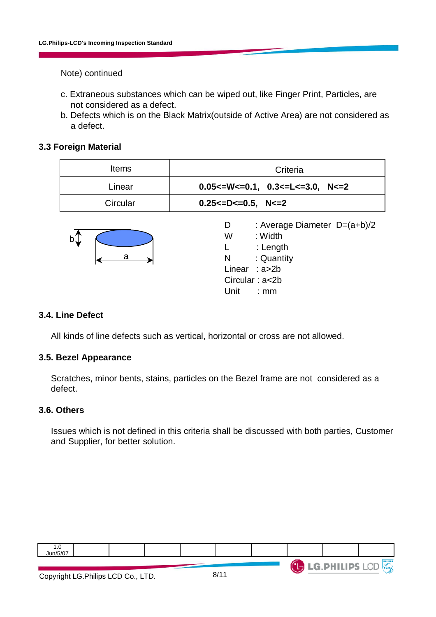Note) continued

- c. Extraneous substances which can be wiped out, like Finger Print, Particles, are not considered as a defect.
- b. Defects which is on the Black Matrix(outside of Active Area) are not considered as a defect.

### **3.3 Foreign Material**

| <b>Items</b> | Criteria                                      |  |  |
|--------------|-----------------------------------------------|--|--|
| Linear       | $0.05$ <= W <= 0.1, $0.3$ <= L <= 3.0, N <= 2 |  |  |
| Circular     | $0.25 \leq D \leq 0.5$ , N $\leq 2$           |  |  |



| נ ו  | : Average Diameter $D=(a+b)/2$ |
|------|--------------------------------|
| w    | : Width                        |
| L    | $:$ Length                     |
| N    | : Quantity                     |
|      | Linear $: a > 2b$              |
|      | Circular: a<2b                 |
| Unit | :mm                            |
|      |                                |

#### **3.4. Line Defect**

All kinds of line defects such as vertical, horizontal or cross are not allowed.

#### **3.5. Bezel Appearance**

Scratches, minor bents, stains, particles on the Bezel frame are not considered as a defect.

#### **3.6. Others**

Issues which is not defined in this criteria shall be discussed with both parties, Customer and Supplier, for better solution.

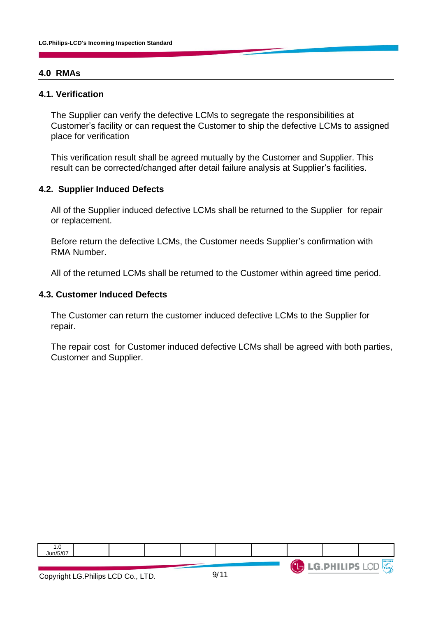# **4.0 RMAs**

# **4.1. Verification**

The Supplier can verify the defective LCMs to segregate the responsibilities at Customer's facility or can request the Customer to ship the defective LCMs to assigned place for verification

This verification result shall be agreed mutually by the Customer and Supplier. This result can be corrected/changed after detail failure analysis at Supplier's facilities.

#### **4.2. Supplier Induced Defects**

All of the Supplier induced defective LCMs shall be returned to the Supplier for repair or replacement.

Before return the defective LCMs, the Customer needs Supplier's confirmation with RMA Number.

All of the returned LCMs shall be returned to the Customer within agreed time period.

#### **4.3. Customer Induced Defects**

The Customer can return the customer induced defective LCMs to the Supplier for repair.

The repair cost for Customer induced defective LCMs shall be agreed with both parties, Customer and Supplier.

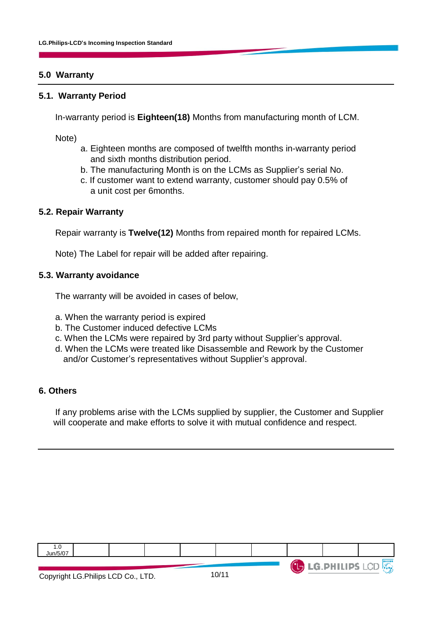#### **5.0 Warranty**

#### **5.1. Warranty Period**

In-warranty period is **Eighteen(18)** Months from manufacturing month of LCM.

Note)

- a. Eighteen months are composed of twelfth months in-warranty period and sixth months distribution period.
- b. The manufacturing Month is on the LCMs as Supplier's serial No.
- c. If customer want to extend warranty, customer should pay 0.5% of a unit cost per 6months.

#### **5.2. Repair Warranty**

Repair warranty is **Twelve(12)** Months from repaired month for repaired LCMs.

Note) The Label for repair will be added after repairing.

#### **5.3. Warranty avoidance**

The warranty will be avoided in cases of below,

- a. When the warranty period is expired
- b. The Customer induced defective LCMs
- c. When the LCMs were repaired by 3rd party without Supplier's approval.
- d. When the LCMs were treated like Disassemble and Rework by the Customer and/or Customer's representatives without Supplier's approval.

# **6. Others**

If any problems arise with the LCMs supplied by supplier, the Customer and Supplier will cooperate and make efforts to solve it with mutual confidence and respect.